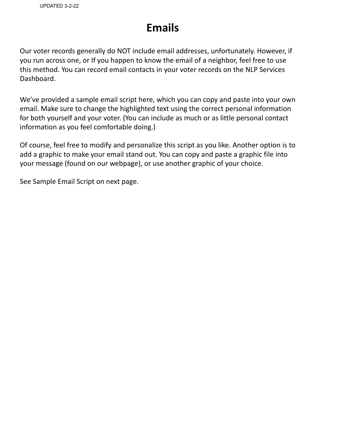### **Emails**

Our voter records generally do NOT include email addresses, unfortunately. However, if you run across one, or If you happen to know the email of a neighbor, feel free to use this method. You can record email contacts in your voter records on the NLP Services Dashboard.

We've provided a sample email script here, which you can copy and paste into your own email. Make sure to change the highlighted text using the correct personal information for both yourself and your voter. (You can include as much or as little personal contact information as you feel comfortable doing.)

Of course, feel free to modify and personalize this script as you like. Another option is to add a graphic to make your email stand out. You can copy and paste a graphic file into your message (found on our webpage), or use another graphic of your choice.

See Sample Email Script on next page.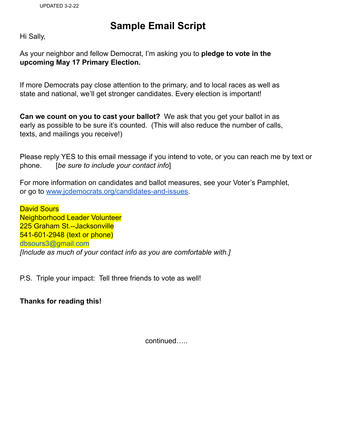#### **Sample Email Script**

Hi Sally,

As your neighbor and fellow Democrat, I'm asking you to **pledge to vote in the upcoming May 17 Primary Election.**

If more Democrats pay close attention to the primary, and to local races as well as state and national, we'll get stronger candidates. Every election is important!

**Can we count on you to cast your ballot?** We ask that you get your ballot in as early as possible to be sure it's counted. (This will also reduce the number of calls, texts, and mailings you receive!)

Please reply YES to this email message if you intend to vote, or you can reach me by text or phone. [*be sure to include your contact info*]

For more information on candidates and ballot measures, see your Voter's Pamphlet, or go to [www.jcdemocrats.org/candidates-and-issues.](http://www.jcdemocrats.org/candidates-and-issues)

**David Sours** Neighborhood Leader Volunteer 225 Graham St.--Jacksonville 541-601-2948 (text or phone) dbsours3@gmail.com *[Include as much of your contact info as you are comfortable with.]*

P.S. Triple your impact: Tell three friends to vote as well!

**Thanks for reading this!**

continued…..